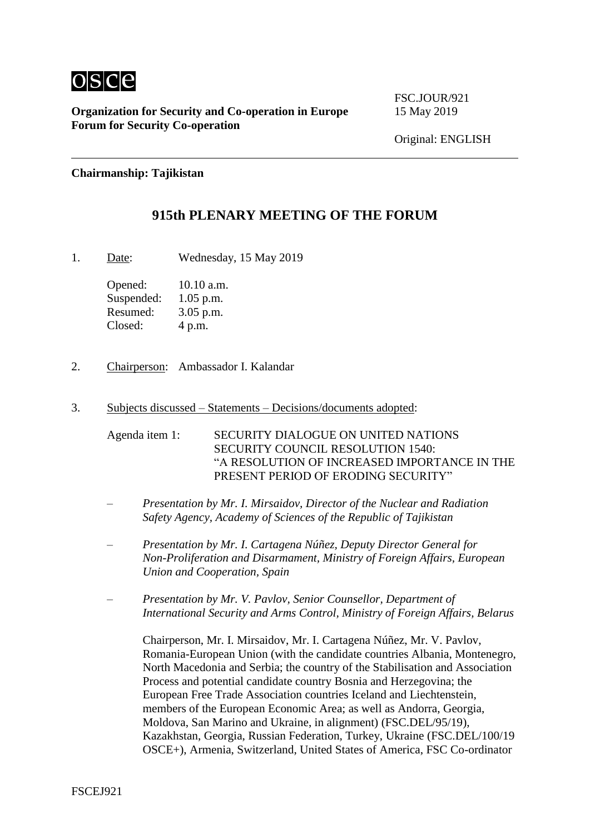

**Organization for Security and Co-operation in Europe** 15 May 2019 **Forum for Security Co-operation**

FSC.JOUR/921

Original: ENGLISH

**Chairmanship: Tajikistan**

## **915th PLENARY MEETING OF THE FORUM**

1. Date: Wednesday, 15 May 2019

Opened: 10.10 a.m. Suspended: 1.05 p.m. Resumed: 3.05 p.m. Closed: 4 p.m.

- 2. Chairperson: Ambassador I. Kalandar
- 3. Subjects discussed Statements Decisions/documents adopted:

Agenda item 1: SECURITY DIALOGUE ON UNITED NATIONS SECURITY COUNCIL RESOLUTION 1540: "A RESOLUTION OF INCREASED IMPORTANCE IN THE PRESENT PERIOD OF ERODING SECURITY"

- *Presentation by Mr. I. Mirsaidov, Director of the Nuclear and Radiation Safety Agency, Academy of Sciences of the Republic of Tajikistan*
- *Presentation by Mr. I. Cartagena Núñez, Deputy Director General for Non-Proliferation and Disarmament, Ministry of Foreign Affairs, European Union and Cooperation, Spain*
- *Presentation by Mr. V. Pavlov, Senior Counsellor, Department of International Security and Arms Control, Ministry of Foreign Affairs, Belarus*

Chairperson, Mr. I. Mirsaidov, Mr. I. Cartagena Núñez, Mr. V. Pavlov, Romania-European Union (with the candidate countries Albania, Montenegro, North Macedonia and Serbia; the country of the Stabilisation and Association Process and potential candidate country Bosnia and Herzegovina; the European Free Trade Association countries Iceland and Liechtenstein, members of the European Economic Area; as well as Andorra, Georgia, Moldova, San Marino and Ukraine, in alignment) (FSC.DEL/95/19), Kazakhstan, Georgia, Russian Federation, Turkey, Ukraine (FSC.DEL/100/19 OSCE+), Armenia, Switzerland, United States of America, FSC Co-ordinator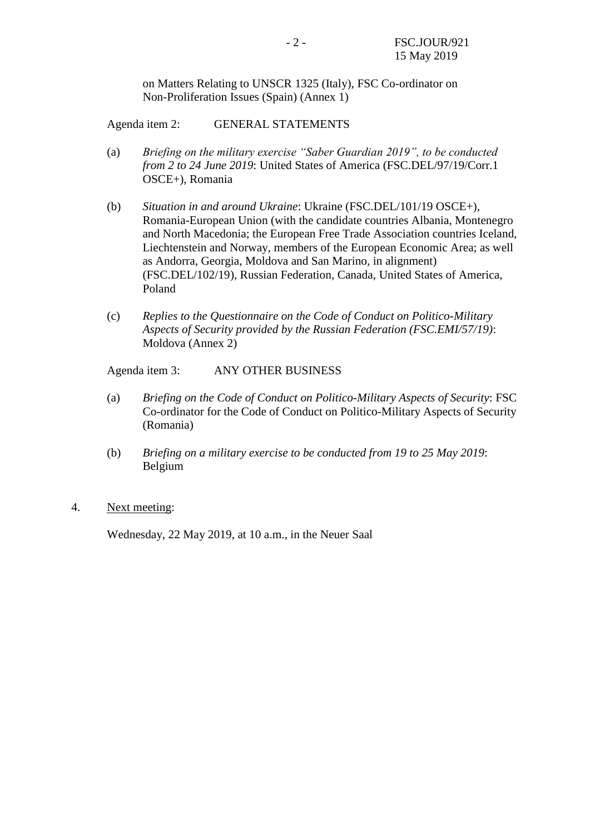on Matters Relating to UNSCR 1325 (Italy), FSC Co-ordinator on Non-Proliferation Issues (Spain) (Annex 1)

Agenda item 2: GENERAL STATEMENTS

- (a) *Briefing on the military exercise "Saber Guardian 2019", to be conducted from 2 to 24 June 2019*: United States of America (FSC.DEL/97/19/Corr.1 OSCE+), Romania
- (b) *Situation in and around Ukraine*: Ukraine (FSC.DEL/101/19 OSCE+), Romania-European Union (with the candidate countries Albania, Montenegro and North Macedonia; the European Free Trade Association countries Iceland, Liechtenstein and Norway, members of the European Economic Area; as well as Andorra, Georgia, Moldova and San Marino, in alignment) (FSC.DEL/102/19), Russian Federation, Canada, United States of America, Poland
- (c) *Replies to the Questionnaire on the Code of Conduct on Politico-Military Aspects of Security provided by the Russian Federation (FSC.EMI/57/19)*: Moldova (Annex 2)

Agenda item 3: ANY OTHER BUSINESS

- (a) *Briefing on the Code of Conduct on Politico-Military Aspects of Security*: FSC Co-ordinator for the Code of Conduct on Politico-Military Aspects of Security (Romania)
- (b) *Briefing on a military exercise to be conducted from 19 to 25 May 2019*: Belgium
- 4. Next meeting:

Wednesday, 22 May 2019, at 10 a.m., in the Neuer Saal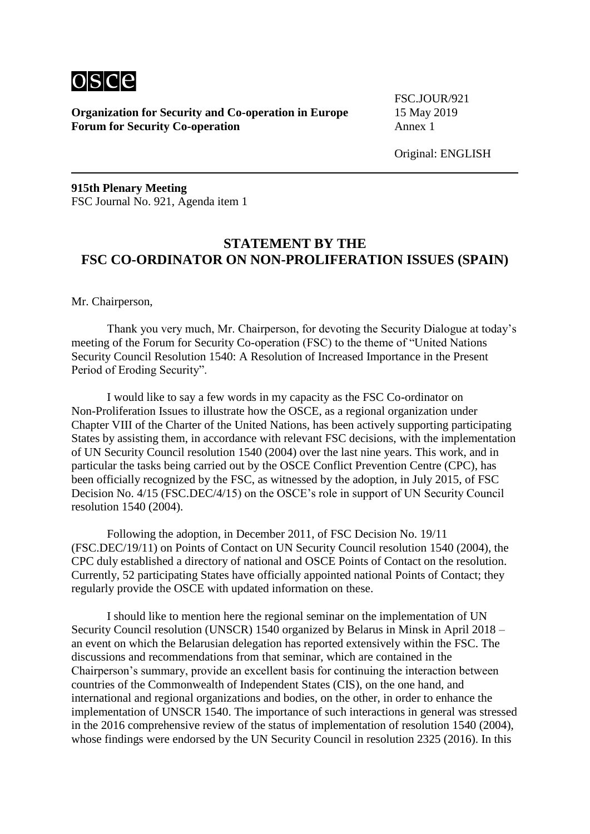

**Organization for Security and Co-operation in Europe** 15 May 2019 **Forum for Security Co-operation** Annex 1

FSC.JOUR/921

Original: ENGLISH

**915th Plenary Meeting** FSC Journal No. 921, Agenda item 1

## **STATEMENT BY THE FSC CO-ORDINATOR ON NON-PROLIFERATION ISSUES (SPAIN)**

Mr. Chairperson,

Thank you very much, Mr. Chairperson, for devoting the Security Dialogue at today's meeting of the Forum for Security Co-operation (FSC) to the theme of "United Nations Security Council Resolution 1540: A Resolution of Increased Importance in the Present Period of Eroding Security".

I would like to say a few words in my capacity as the FSC Co-ordinator on Non-Proliferation Issues to illustrate how the OSCE, as a regional organization under Chapter VIII of the Charter of the United Nations, has been actively supporting participating States by assisting them, in accordance with relevant FSC decisions, with the implementation of UN Security Council resolution 1540 (2004) over the last nine years. This work, and in particular the tasks being carried out by the OSCE Conflict Prevention Centre (CPC), has been officially recognized by the FSC, as witnessed by the adoption, in July 2015, of FSC Decision No. 4/15 (FSC.DEC/4/15) on the OSCE's role in support of UN Security Council resolution 1540 (2004).

Following the adoption, in December 2011, of FSC Decision No. 19/11 (FSC.DEC/19/11) on Points of Contact on UN Security Council resolution 1540 (2004), the CPC duly established a directory of national and OSCE Points of Contact on the resolution. Currently, 52 participating States have officially appointed national Points of Contact; they regularly provide the OSCE with updated information on these.

I should like to mention here the regional seminar on the implementation of UN Security Council resolution (UNSCR) 1540 organized by Belarus in Minsk in April 2018 – an event on which the Belarusian delegation has reported extensively within the FSC. The discussions and recommendations from that seminar, which are contained in the Chairperson's summary, provide an excellent basis for continuing the interaction between countries of the Commonwealth of Independent States (CIS), on the one hand, and international and regional organizations and bodies, on the other, in order to enhance the implementation of UNSCR 1540. The importance of such interactions in general was stressed in the 2016 comprehensive review of the status of implementation of resolution 1540 (2004), whose findings were endorsed by the UN Security Council in resolution 2325 (2016). In this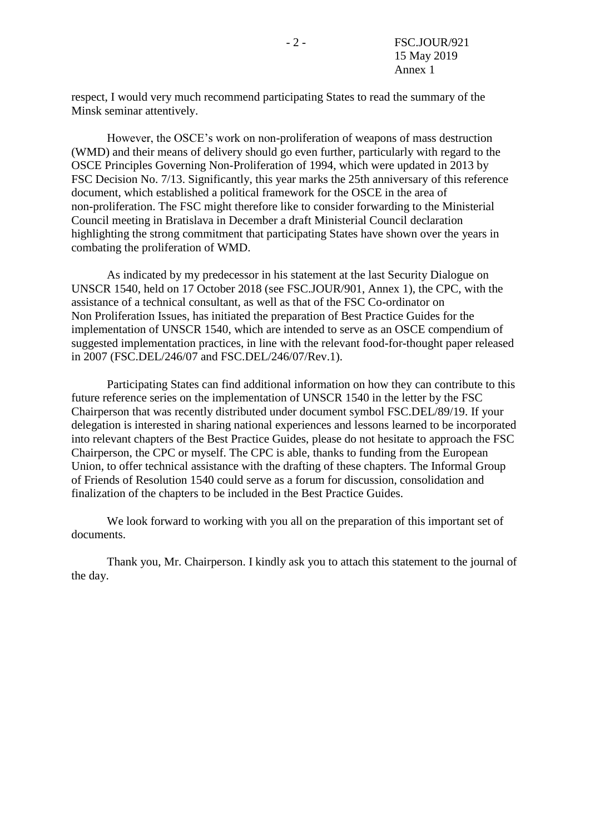respect, I would very much recommend participating States to read the summary of the Minsk seminar attentively.

However, the OSCE's work on non-proliferation of weapons of mass destruction (WMD) and their means of delivery should go even further, particularly with regard to the OSCE Principles Governing Non-Proliferation of 1994, which were updated in 2013 by FSC Decision No. 7/13. Significantly, this year marks the 25th anniversary of this reference document, which established a political framework for the OSCE in the area of non-proliferation. The FSC might therefore like to consider forwarding to the Ministerial Council meeting in Bratislava in December a draft Ministerial Council declaration highlighting the strong commitment that participating States have shown over the years in combating the proliferation of WMD.

As indicated by my predecessor in his statement at the last Security Dialogue on UNSCR 1540, held on 17 October 2018 (see FSC.JOUR/901, Annex 1), the CPC, with the assistance of a technical consultant, as well as that of the FSC Co-ordinator on Non Proliferation Issues, has initiated the preparation of Best Practice Guides for the implementation of UNSCR 1540, which are intended to serve as an OSCE compendium of suggested implementation practices, in line with the relevant food-for-thought paper released in 2007 (FSC.DEL/246/07 and FSC.DEL/246/07/Rev.1).

Participating States can find additional information on how they can contribute to this future reference series on the implementation of UNSCR 1540 in the letter by the FSC Chairperson that was recently distributed under document symbol FSC.DEL/89/19. If your delegation is interested in sharing national experiences and lessons learned to be incorporated into relevant chapters of the Best Practice Guides, please do not hesitate to approach the FSC Chairperson, the CPC or myself. The CPC is able, thanks to funding from the European Union, to offer technical assistance with the drafting of these chapters. The Informal Group of Friends of Resolution 1540 could serve as a forum for discussion, consolidation and finalization of the chapters to be included in the Best Practice Guides.

We look forward to working with you all on the preparation of this important set of documents.

Thank you, Mr. Chairperson. I kindly ask you to attach this statement to the journal of the day.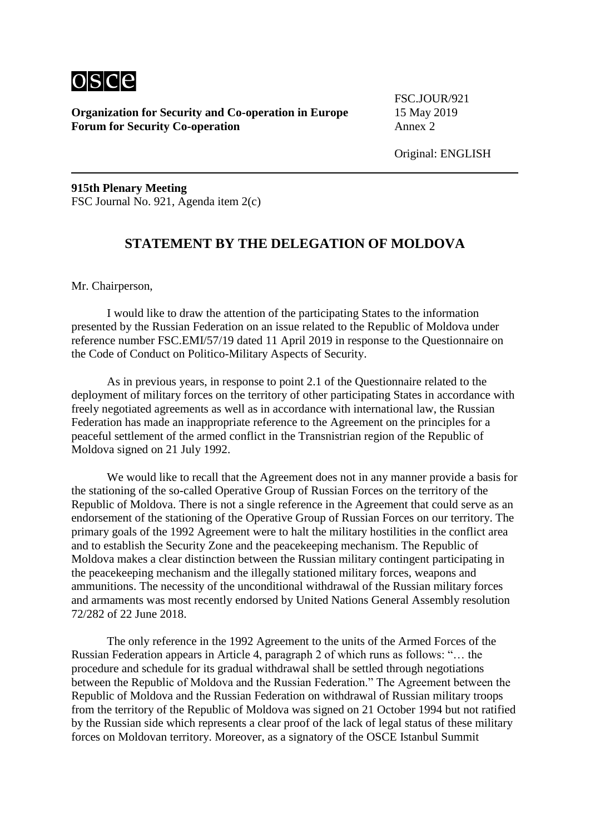

**Organization for Security and Co-operation in Europe** 15 May 2019 **Forum for Security Co-operation** Annex 2

FSC.JOUR/921

**915th Plenary Meeting** FSC Journal No. 921, Agenda item 2(c)

## **STATEMENT BY THE DELEGATION OF MOLDOVA**

Mr. Chairperson,

I would like to draw the attention of the participating States to the information presented by the Russian Federation on an issue related to the Republic of Moldova under reference number FSC.EMI/57/19 dated 11 April 2019 in response to the Questionnaire on the Code of Conduct on Politico-Military Aspects of Security.

As in previous years, in response to point 2.1 of the Questionnaire related to the deployment of military forces on the territory of other participating States in accordance with freely negotiated agreements as well as in accordance with international law, the Russian Federation has made an inappropriate reference to the Agreement on the principles for a peaceful settlement of the armed conflict in the Transnistrian region of the Republic of Moldova signed on 21 July 1992.

We would like to recall that the Agreement does not in any manner provide a basis for the stationing of the so-called Operative Group of Russian Forces on the territory of the Republic of Moldova. There is not a single reference in the Agreement that could serve as an endorsement of the stationing of the Operative Group of Russian Forces on our territory. The primary goals of the 1992 Agreement were to halt the military hostilities in the conflict area and to establish the Security Zone and the peacekeeping mechanism. The Republic of Moldova makes a clear distinction between the Russian military contingent participating in the peacekeeping mechanism and the illegally stationed military forces, weapons and ammunitions. The necessity of the unconditional withdrawal of the Russian military forces and armaments was most recently endorsed by United Nations General Assembly resolution 72/282 of 22 June 2018.

The only reference in the 1992 Agreement to the units of the Armed Forces of the Russian Federation appears in Article 4, paragraph 2 of which runs as follows: "… the procedure and schedule for its gradual withdrawal shall be settled through negotiations between the Republic of Moldova and the Russian Federation." The Agreement between the Republic of Moldova and the Russian Federation on withdrawal of Russian military troops from the territory of the Republic of Moldova was signed on 21 October 1994 but not ratified by the Russian side which represents a clear proof of the lack of legal status of these military forces on Moldovan territory. Moreover, as a signatory of the OSCE Istanbul Summit